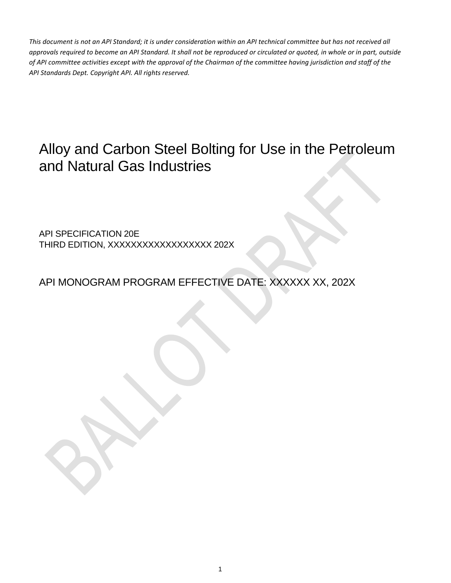# Alloy and Carbon Steel Bolting for Use in the Petroleum and Natural Gas Industries

API SPECIFICATION 20E THIRD EDITION, XXXXXXXXXXXXXXXXX 202X

API MONOGRAM PROGRAM EFFECTIVE DATE: XXXXXX XX, 202X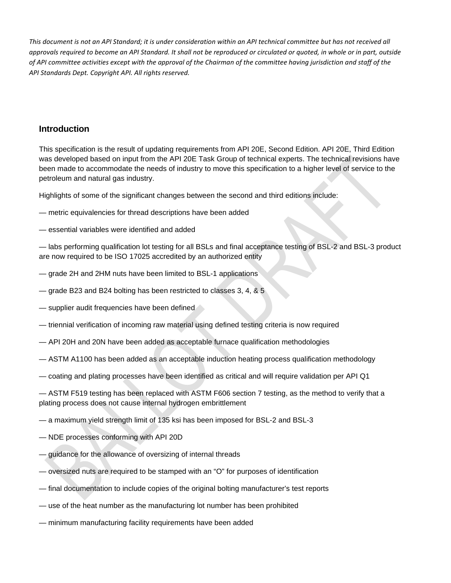## **Introduction**

This specification is the result of updating requirements from API 20E, Second Edition. API 20E, Third Edition was developed based on input from the API 20E Task Group of technical experts. The technical revisions have been made to accommodate the needs of industry to move this specification to a higher level of service to the petroleum and natural gas industry.

Highlights of some of the significant changes between the second and third editions include:

- metric equivalencies for thread descriptions have been added
- essential variables were identified and added

— labs performing qualification lot testing for all BSLs and final acceptance testing of BSL-2 and BSL-3 product are now required to be ISO 17025 accredited by an authorized entity

- grade 2H and 2HM nuts have been limited to BSL-1 applications
- grade B23 and B24 bolting has been restricted to classes 3, 4, & 5
- supplier audit frequencies have been defined
- triennial verification of incoming raw material using defined testing criteria is now required
- API 20H and 20N have been added as acceptable furnace qualification methodologies
- ASTM A1100 has been added as an acceptable induction heating process qualification methodology
- coating and plating processes have been identified as critical and will require validation per API Q1

— ASTM F519 testing has been replaced with ASTM F606 section 7 testing, as the method to verify that a plating process does not cause internal hydrogen embrittlement

— a maximum yield strength limit of 135 ksi has been imposed for BSL-2 and BSL-3

- NDE processes conforming with API 20D
- guidance for the allowance of oversizing of internal threads
- oversized nuts are required to be stamped with an "O" for purposes of identification
- final documentation to include copies of the original bolting manufacturer's test reports
- use of the heat number as the manufacturing lot number has been prohibited
- minimum manufacturing facility requirements have been added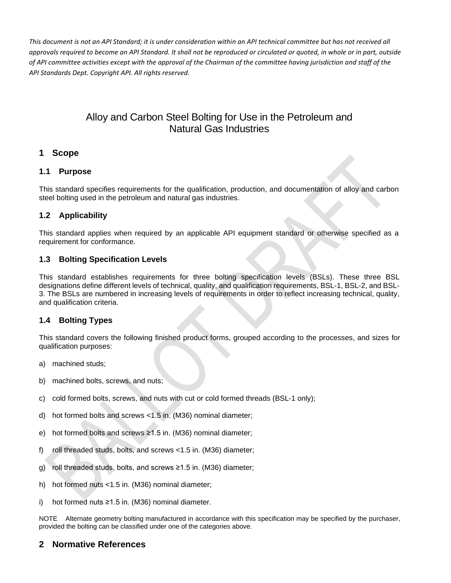## Alloy and Carbon Steel Bolting for Use in the Petroleum and Natural Gas Industries

## **1 Scope**

#### **1.1 Purpose**

This standard specifies requirements for the qualification, production, and documentation of alloy and carbon steel bolting used in the petroleum and natural gas industries.

## **1.2 Applicability**

This standard applies when required by an applicable API equipment standard or otherwise specified as a requirement for conformance.

#### **1.3 Bolting Specification Levels**

This standard establishes requirements for three bolting specification levels (BSLs). These three BSL designations define different levels of technical, quality, and qualification requirements, BSL-1, BSL-2, and BSL-3. The BSLs are numbered in increasing levels of requirements in order to reflect increasing technical, quality, and qualification criteria.

## **1.4 Bolting Types**

This standard covers the following finished product forms, grouped according to the processes, and sizes for qualification purposes:

- a) machined studs;
- b) machined bolts, screws, and nuts;
- c) cold formed bolts, screws, and nuts with cut or cold formed threads (BSL-1 only);
- d) hot formed bolts and screws <1.5 in. (M36) nominal diameter;
- e) hot formed bolts and screws ≥1.5 in. (M36) nominal diameter;
- f) roll threaded studs, bolts, and screws <1.5 in. (M36) diameter;
- g) roll threaded studs, bolts, and screws ≥1.5 in. (M36) diameter;
- h) hot formed nuts <1.5 in. (M36) nominal diameter;
- i) hot formed nuts ≥1.5 in. (M36) nominal diameter.

NOTE Alternate geometry bolting manufactured in accordance with this specification may be specified by the purchaser, provided the bolting can be classified under one of the categories above.

## **2 Normative References**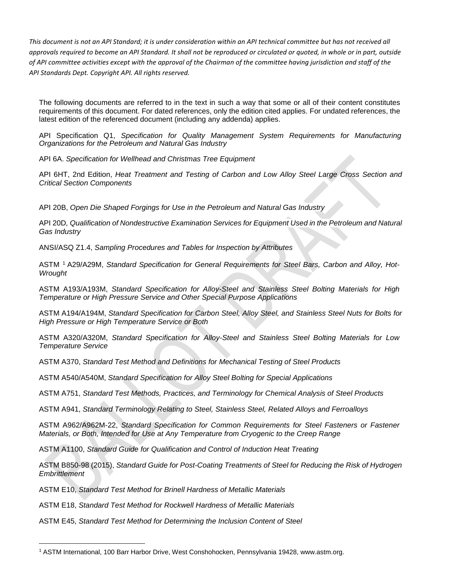The following documents are referred to in the text in such a way that some or all of their content constitutes requirements of this document. For dated references, only the edition cited applies. For undated references, the latest edition of the referenced document (including any addenda) applies.

API Specification Q1, *Specification for Quality Management System Requirements for Manufacturing Organizations for the Petroleum and Natural Gas Industry*

API 6A. *Specification for Wellhead and Christmas Tree Equipment*

API 6HT, 2nd Edition, *Heat Treatment and Testing of Carbon and Low Alloy Steel Large Cross Section and Critical Section Components*

API 20B, *Open Die Shaped Forgings for Use in the Petroleum and Natural Gas Industry*

API 20D*, Qualification of Nondestructive Examination Services for Equipment Used in the Petroleum and Natural Gas Industry*

ANSI/ASQ Z1.4, *Sampling Procedures and Tables for Inspection by Attributes*

ASTM [1](#page-3-0) A29/A29M, *Standard Specification for General Requirements for Steel Bars, Carbon and Alloy, Hot-Wrought*

ASTM A193/A193M, *Standard Specification for Alloy-Steel and Stainless Steel Bolting Materials for High Temperature or High Pressure Service and Other Special Purpose Applications*

ASTM A194/A194M, *Standard Specification for Carbon Steel, Alloy Steel, and Stainless Steel Nuts for Bolts for High Pressure or High Temperature Service or Both*

ASTM A320/A320M, *Standard Specification for Alloy-Steel and Stainless Steel Bolting Materials for Low Temperature Service*

ASTM A370, *Standard Test Method and Definitions for Mechanical Testing of Steel Products*

ASTM A540/A540M, *Standard Specification for Alloy Steel Bolting for Special Applications*

ASTM A751, *Standard Test Methods, Practices, and Terminology for Chemical Analysis of Steel Products*

ASTM A941, *Standard Terminology Relating to Steel, Stainless Steel, Related Alloys and Ferroalloys*

ASTM A962/A962M-22, *Standard Specification for Common Requirements for Steel Fasteners or Fastener Materials, or Both, Intended for Use at Any Temperature from Cryogenic to the Creep Range*

ASTM A1100, *Standard Guide for Qualification and Control of Induction Heat Treating*

ASTM B850-98 (2015), *Standard Guide for Post-Coating Treatments of Steel for Reducing the Risk of Hydrogen Embrittlement*

ASTM E10, *Standard Test Method for Brinell Hardness of Metallic Materials* 

ASTM E18, *Standard Test Method for Rockwell Hardness of Metallic Materials* 

ASTM E45, *Standard Test Method for Determining the Inclusion Content of Steel*

<span id="page-3-0"></span><sup>&</sup>lt;sup>1</sup> ASTM International, 100 Barr Harbor Drive, West Conshohocken, Pennsylvania 19428, [www.astm.org.](http://www.astm.org/)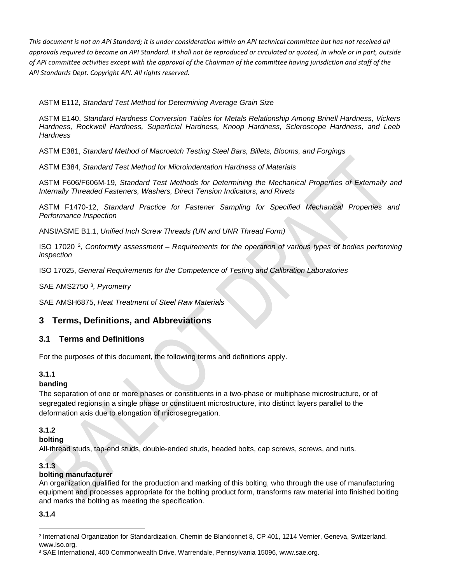ASTM E112, *Standard Test Method for Determining Average Grain Size*

ASTM E140, *Standard Hardness Conversion Tables for Metals Relationship Among Brinell Hardness, Vickers Hardness, Rockwell Hardness, Superficial Hardness, Knoop Hardness, Scleroscope Hardness, and Leeb Hardness*

ASTM E381, *Standard Method of Macroetch Testing Steel Bars, Billets, Blooms, and Forgings*

ASTM E384, *Standard Test Method for Microindentation Hardness of Materials*

ASTM F606/F606M-19, *Standard Test Methods for Determining the Mechanical Properties of Externally and Internally Threaded Fasteners, Washers, Direct Tension Indicators, and Rivets*

ASTM F1470-12, *Standard Practice for Fastener Sampling for Specified Mechanical Properties and Performance Inspection*

ANSI/ASME B1.1, *Unified Inch Screw Threads (UN and UNR Thread Form)*

ISO 17020 [2](#page-4-0), *Conformity assessment – Requirements for the operation of various types of bodies performing inspection*

ISO 17025, *General Requirements for the Competence of Testing and Calibration Laboratories*

SAE AMS2750 [3](#page-4-1)*, Pyrometry*

SAE AMSH6875, *Heat Treatment of Steel Raw Materials*

## **3 Terms, Definitions, and Abbreviations**

#### **3.1 Terms and Definitions**

For the purposes of this document, the following terms and definitions apply.

#### **3.1.1**

#### **banding**

The separation of one or more phases or constituents in a two-phase or multiphase microstructure, or of segregated regions in a single phase or constituent microstructure, into distinct layers parallel to the deformation axis due to elongation of microsegregation.

#### **3.1.2**

#### **bolting**

All-thread studs, tap-end studs, double-ended studs, headed bolts, cap screws, screws, and nuts.

#### **3.1.3**

#### **bolting manufacturer**

An organization qualified for the production and marking of this bolting, who through the use of manufacturing equipment and processes appropriate for the bolting product form, transforms raw material into finished bolting and marks the bolting as meeting the specification.

#### **3.1.4**

<span id="page-4-0"></span><sup>2</sup> International Organization for Standardization, Chemin de Blandonnet 8, CP 401, 1214 Vernier, Geneva, Switzerland, [www.iso.org.](http://www.iso.org/)

<span id="page-4-1"></span><sup>3</sup> SAE International, 400 Commonwealth Drive, Warrendale, Pennsylvania 15096, [www.sae.org.](http://www.sae.org/)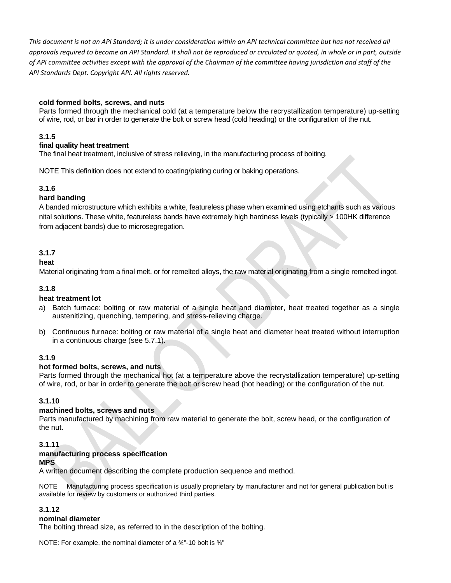#### **cold formed bolts, screws, and nuts**

Parts formed through the mechanical cold (at a temperature below the recrystallization temperature) up-setting of wire, rod, or bar in order to generate the bolt or screw head (cold heading) or the configuration of the nut.

#### **3.1.5**

#### **final quality heat treatment**

The final heat treatment, inclusive of stress relieving, in the manufacturing process of bolting.

NOTE This definition does not extend to coating/plating curing or baking operations.

#### **3.1.6**

#### **hard banding**

A banded microstructure which exhibits a white, featureless phase when examined using etchants such as various nital solutions. These white, featureless bands have extremely high hardness levels (typically > 100HK difference from adjacent bands) due to microsegregation.

#### **3.1.7**

#### **heat**

Material originating from a final melt, or for remelted alloys, the raw material originating from a single remelted ingot.

#### **3.1.8**

#### **heat treatment lot**

- a) Batch furnace: bolting or raw material of a single heat and diameter, heat treated together as a single austenitizing, quenching, tempering, and stress-relieving charge.
- b) Continuous furnace: bolting or raw material of a single heat and diameter heat treated without interruption in a continuous charge (see 5.7.1).

#### **3.1.9**

#### **hot formed bolts, screws, and nuts**

Parts formed through the mechanical hot (at a temperature above the recrystallization temperature) up-setting of wire, rod, or bar in order to generate the bolt or screw head (hot heading) or the configuration of the nut.

#### **3.1.10**

#### **machined bolts, screws and nuts**

Parts manufactured by machining from raw material to generate the bolt, screw head, or the configuration of the nut.

#### **3.1.11**

#### **manufacturing process specification**

#### **MPS**

A written document describing the complete production sequence and method.

NOTE Manufacturing process specification is usually proprietary by manufacturer and not for general publication but is available for review by customers or authorized third parties.

#### **3.1.12**

#### **nominal diameter**

The bolting thread size, as referred to in the description of the bolting.

NOTE: For example, the nominal diameter of a  $\frac{3}{4}$ "-10 bolt is  $\frac{3}{4}$ "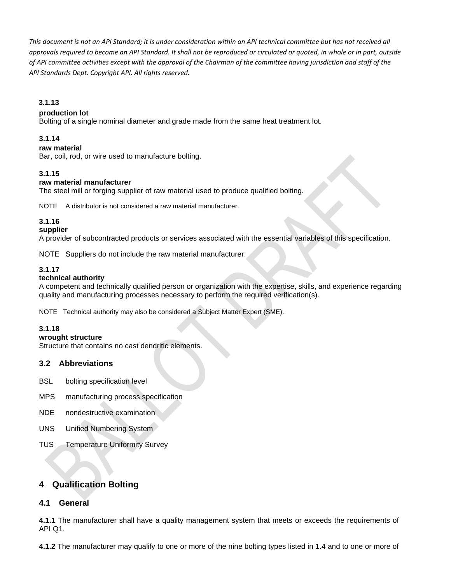#### **3.1.13**

#### **production lot**

Bolting of a single nominal diameter and grade made from the same heat treatment lot.

#### **3.1.14**

#### **raw material**

Bar, coil, rod, or wire used to manufacture bolting.

#### **3.1.15**

#### **raw material manufacturer**

The steel mill or forging supplier of raw material used to produce qualified bolting.

NOTE A distributor is not considered a raw material manufacturer.

#### **3.1.16**

#### **supplier**

A provider of subcontracted products or services associated with the essential variables of this specification.

NOTE Suppliers do not include the raw material manufacturer.

#### **3.1.17**

#### **technical authority**

A competent and technically qualified person or organization with the expertise, skills, and experience regarding quality and manufacturing processes necessary to perform the required verification(s).

NOTE Technical authority may also be considered a Subject Matter Expert (SME).

#### **3.1.18**

#### **wrought structure**

Structure that contains no cast dendritic elements.

#### **3.2 Abbreviations**

- BSL bolting specification level
- MPS manufacturing process specification
- NDE nondestructive examination
- UNS Unified Numbering System
- TUS **Temperature Uniformity Survey**

## **4 Qualification Bolting**

#### **4.1 General**

**4.1.1** The manufacturer shall have a quality management system that meets or exceeds the requirements of API Q1.

**4.1.2** The manufacturer may qualify to one or more of the nine bolting types listed in 1.4 and to one or more of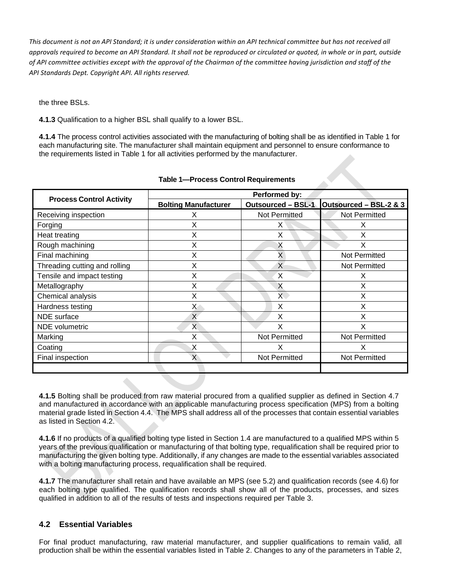the three BSLs.

**4.1.3** Qualification to a higher BSL shall qualify to a lower BSL.

**4.1.4** The process control activities associated with the manufacturing of bolting shall be as identified in Table 1 for each manufacturing site. The manufacturer shall maintain equipment and personnel to ensure conformance to the requirements listed in Table 1 for all activities performed by the manufacturer.

|                                 | Performed by:               |                           |                        |  |  |  |
|---------------------------------|-----------------------------|---------------------------|------------------------|--|--|--|
| <b>Process Control Activity</b> | <b>Bolting Manufacturer</b> | <b>Outsourced - BSL-1</b> | Outsourced - BSL-2 & 3 |  |  |  |
| Receiving inspection            | х                           | Not Permitted             | Not Permitted          |  |  |  |
| Forging                         | Χ                           | X                         | X                      |  |  |  |
| Heat treating                   | X                           | X                         | X                      |  |  |  |
| Rough machining                 | X                           | X                         | Χ                      |  |  |  |
| Final machining                 | X                           | X                         | Not Permitted          |  |  |  |
| Threading cutting and rolling   | X                           | X                         | Not Permitted          |  |  |  |
| Tensile and impact testing      | X                           | X                         | х                      |  |  |  |
| Metallography                   | X                           | X                         | X                      |  |  |  |
| Chemical analysis               | X                           | $\mathsf{X}^+$            | X                      |  |  |  |
| Hardness testing                | X                           | X                         | X                      |  |  |  |
| NDE surface                     | $\mathsf{X}$                | X                         | X                      |  |  |  |
| <b>NDE</b> volumetric           | X                           | X                         | X                      |  |  |  |
| Marking                         | X                           | Not Permitted             | Not Permitted          |  |  |  |
| Coating                         | X                           | X                         | x                      |  |  |  |
| Final inspection                | X                           | Not Permitted             | Not Permitted          |  |  |  |
|                                 |                             |                           |                        |  |  |  |

#### **Table 1—Process Control Requirements**

**4.1.5** Bolting shall be produced from raw material procured from a qualified supplier as defined in Section 4.7 and manufactured in accordance with an applicable manufacturing process specification (MPS) from a bolting material grade listed in Section 4.4. The MPS shall address all of the processes that contain essential variables as listed in Section 4.2.

**4.1.6** If no products of a qualified bolting type listed in Section 1.4 are manufactured to a qualified MPS within 5 years of the previous qualification or manufacturing of that bolting type, requalification shall be required prior to manufacturing the given bolting type. Additionally, if any changes are made to the essential variables associated with a bolting manufacturing process, requalification shall be required.

**4.1.7** The manufacturer shall retain and have available an MPS (see 5.2) and qualification records (see 4.6) for each bolting type qualified. The qualification records shall show all of the products, processes, and sizes qualified in addition to all of the results of tests and inspections required per Table 3.

## **4.2 Essential Variables**

For final product manufacturing, raw material manufacturer, and supplier qualifications to remain valid, all production shall be within the essential variables listed in Table 2. Changes to any of the parameters in Table 2,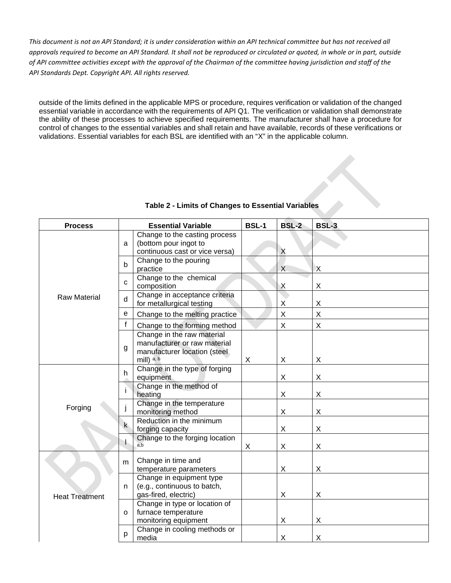outside of the limits defined in the applicable MPS or procedure, requires verification or validation of the changed essential variable in accordance with the requirements of API Q1. The verification or validation shall demonstrate the ability of these processes to achieve specified requirements. The manufacturer shall have a procedure for control of changes to the essential variables and shall retain and have available, records of these verifications or validation*s*. Essential variables for each BSL are identified with an "X" in the applicable column.

| <b>Process</b>        | <b>Essential Variable</b> |                                                                                                          |   | <b>BSL-2</b>   | <b>BSL-3</b> |
|-----------------------|---------------------------|----------------------------------------------------------------------------------------------------------|---|----------------|--------------|
|                       | a                         | Change to the casting process<br>(bottom pour ingot to<br>continuous cast or vice versa)                 |   | $\mathsf{X}$   |              |
|                       | b                         | Change to the pouring<br>practice                                                                        |   | $\overline{X}$ | X            |
|                       | C                         | Change to the chemical<br>composition                                                                    |   | Χ              | X            |
| <b>Raw Material</b>   | d                         | Change in acceptance criteria<br>for metallurgical testing                                               |   | Χ              | X            |
|                       | e                         | Change to the melting practice                                                                           |   | X              | X            |
|                       | f                         | Change to the forming method                                                                             |   | X              | X            |
|                       | g                         | Change in the raw material<br>manufacturer or raw material<br>manufacturer location (steel<br>mill) a, b | X | X              | X            |
|                       | h.                        | Change in the type of forging<br>equipment                                                               |   | X              | X            |
|                       |                           | Change in the method of<br>heating                                                                       |   | X              | X            |
| Forging               |                           | Change in the temperature<br>monitoring method                                                           |   | X              | X            |
|                       | $\mathsf{k}$              | Reduction in the minimum<br>forging capacity                                                             |   | X              | X            |
|                       |                           | Change to the forging location<br>a.b                                                                    | Χ | X              | X            |
|                       | m                         | Change in time and<br>temperature parameters                                                             |   | X              | X            |
| <b>Heat Treatment</b> | n.                        | Change in equipment type<br>(e.g., continuous to batch,<br>gas-fired, electric)                          |   | Χ              | X            |
|                       | $\Omega$                  | Change in type or location of<br>furnace temperature<br>monitoring equipment                             |   | X              | X            |
|                       | р                         | Change in cooling methods or<br>media                                                                    |   | $\mathsf X$    | X            |

#### **Table 2 - Limits of Changes to Essential Variables**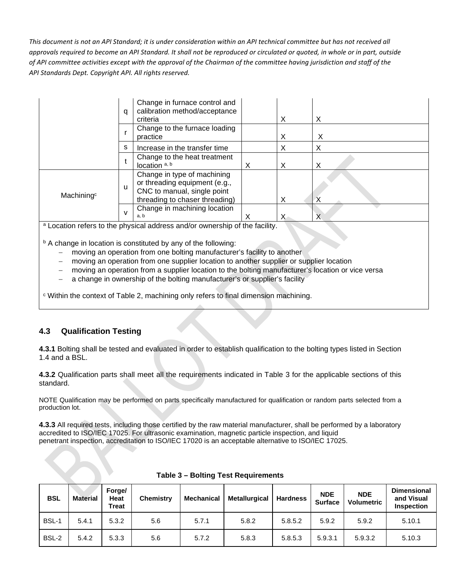|                        | a | Change in furnace control and<br>calibration method/acceptance<br>criteria                                                    |   | X | X |
|------------------------|---|-------------------------------------------------------------------------------------------------------------------------------|---|---|---|
|                        |   | Change to the furnace loading<br>practice                                                                                     |   | X | х |
|                        | s | Increase in the transfer time                                                                                                 |   | х | х |
|                        |   | Change to the heat treatment<br>location <sup>a, b</sup>                                                                      | X | X | Х |
| Machining <sup>c</sup> | u | Change in type of machining<br>or threading equipment (e.g.,<br>CNC to manual, single point<br>threading to chaser threading) |   | X |   |
|                        | v | Change in machining location<br>a, b<br>a Location refers to the physical address and/or quiperphip of the foolity            | х | X | Х |

<sup>a</sup> Location refers to the physical address and/or ownership of the facility.

b A change in location is constituted by any of the following:

- moving an operation from one bolting manufacturer's facility to another
- moving an operation from one supplier location to another supplier or supplier location
- moving an operation from a supplier location to the bolting manufacturer's location or vice versa
- a change in ownership of the bolting manufacturer's or supplier's facility

<sup>c</sup> Within the context of Table 2, machining only refers to final dimension machining.

## **4.3 Qualification Testing**

**4.3.1** Bolting shall be tested and evaluated in order to establish qualification to the bolting types listed in Section 1.4 and a BSL.

**4.3.2** Qualification parts shall meet all the requirements indicated in Table 3 for the applicable sections of this standard.

NOTE Qualification may be performed on parts specifically manufactured for qualification or random parts selected from a production lot.

**4.3.3** All required tests, including those certified by the raw material manufacturer, shall be performed by a laboratory accredited to ISO/IEC 17025. For ultrasonic examination, magnetic particle inspection, and liquid penetrant inspection, accreditation to ISO/IEC 17020 is an acceptable alternative to ISO/IEC 17025.

| <b>BSL</b> | <b>Material</b> | Forge/<br><b>Heat</b><br><b>Treat</b> | <b>Chemistry</b> | Mechanical | <b>Metallurgical</b> | <b>Hardness</b> | <b>NDE</b><br><b>Surface</b> | <b>NDE</b><br><b>Volumetric</b> | <b>Dimensional</b><br>and Visual<br><b>Inspection</b> |
|------------|-----------------|---------------------------------------|------------------|------------|----------------------|-----------------|------------------------------|---------------------------------|-------------------------------------------------------|
| BSL-1      | 5.4.1           | 5.3.2                                 | 5.6              | 5.7.1      | 5.8.2                | 5.8.5.2         | 5.9.2                        | 5.9.2                           | 5.10.1                                                |
| BSL-2      | 5.4.2           | 5.3.3                                 | 5.6              | 5.7.2      | 5.8.3                | 5.8.5.3         | 5.9.3.1                      | 5.9.3.2                         | 5.10.3                                                |

|  |  |  | Table 3 - Bolting Test Requirements |
|--|--|--|-------------------------------------|
|--|--|--|-------------------------------------|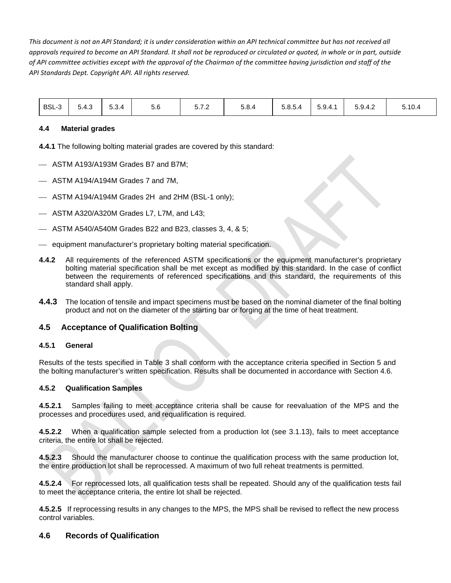| BSL-3 | 5.4.3 | 5.3.4 | 5.6 | - - -<br>3. I .Z | 5.8.4 | 5.8.5.4 | $\sim$ $\sim$ $\sim$<br>5.9.4.1 | 5.9.4.2 | 5.10.4 |
|-------|-------|-------|-----|------------------|-------|---------|---------------------------------|---------|--------|
|-------|-------|-------|-----|------------------|-------|---------|---------------------------------|---------|--------|

#### **4.4 Material grades**

**4.4.1** The following bolting material grades are covered by this standard:

- ASTM A193/A193M Grades B7 and B7M;
- ASTM A194/A194M Grades 7 and 7M,
- ASTM A194/A194M Grades 2H and 2HM (BSL-1 only);
- $-$  ASTM A320/A320M Grades L7, L7M, and L43;
- ASTM A540/A540M Grades B22 and B23, classes 3, 4, & 5;
- $-$  equipment manufacturer's proprietary bolting material specification.
- **4.4.2** All requirements of the referenced ASTM specifications or the equipment manufacturer's proprietary bolting material specification shall be met except as modified by this standard. In the case of conflict between the requirements of referenced specifications and this standard, the requirements of this standard shall apply.
- **4.4.3** The location of tensile and impact specimens must be based on the nominal diameter of the final bolting product and not on the diameter of the starting bar or forging at the time of heat treatment.

#### **4.5 Acceptance of Qualification Bolting**

#### **4.5.1 General**

Results of the tests specified in Table 3 shall conform with the acceptance criteria specified in Section 5 and the bolting manufacturer's written specification. Results shall be documented in accordance with Section 4.6.

#### **4.5.2 Qualification Samples**

**4.5.2.1** Samples failing to meet acceptance criteria shall be cause for reevaluation of the MPS and the processes and procedures used, and requalification is required.

**4.5.2.2** When a qualification sample selected from a production lot (see 3.1.13), fails to meet acceptance criteria, the entire lot shall be rejected.

**4.5.2.3** Should the manufacturer choose to continue the qualification process with the same production lot, the entire production lot shall be reprocessed. A maximum of two full reheat treatments is permitted.

**4.5.2.4** For reprocessed lots, all qualification tests shall be repeated. Should any of the qualification tests fail to meet the acceptance criteria, the entire lot shall be rejected.

**4.5.2.5** If reprocessing results in any changes to the MPS, the MPS shall be revised to reflect the new process control variables.

#### **4.6 Records of Qualification**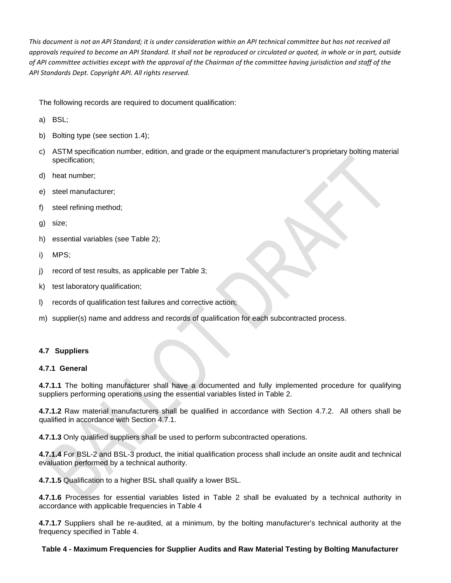The following records are required to document qualification:

- a) BSL;
- b) Bolting type (see section 1.4);
- c) ASTM specification number, edition, and grade or the equipment manufacturer's proprietary bolting material specification;
- d) heat number;
- e) steel manufacturer;
- f) steel refining method;
- g) size;
- h) essential variables (see Table 2);
- i) MPS;
- j) record of test results, as applicable per Table 3;
- k) test laboratory qualification;
- l) records of qualification test failures and corrective action;
- m) supplier(s) name and address and records of qualification for each subcontracted process.

#### **4.7 Suppliers**

#### **4.7.1 General**

**4.7.1.1** The bolting manufacturer shall have a documented and fully implemented procedure for qualifying suppliers performing operations using the essential variables listed in Table 2.

**4.7.1.2** Raw material manufacturers shall be qualified in accordance with Section 4.7.2. All others shall be qualified in accordance with Section 4.7.1.

**4.7.1.3** Only qualified suppliers shall be used to perform subcontracted operations.

**4.7.1.4** For BSL-2 and BSL-3 product, the initial qualification process shall include an onsite audit and technical evaluation performed by a technical authority.

**4.7.1.5** Qualification to a higher BSL shall qualify a lower BSL.

**4.7.1.6** Processes for essential variables listed in Table 2 shall be evaluated by a technical authority in accordance with applicable frequencies in Table 4

**4.7.1.7** Suppliers shall be re-audited, at a minimum, by the bolting manufacturer's technical authority at the frequency specified in Table 4.

#### **Table 4 - Maximum Frequencies for Supplier Audits and Raw Material Testing by Bolting Manufacturer**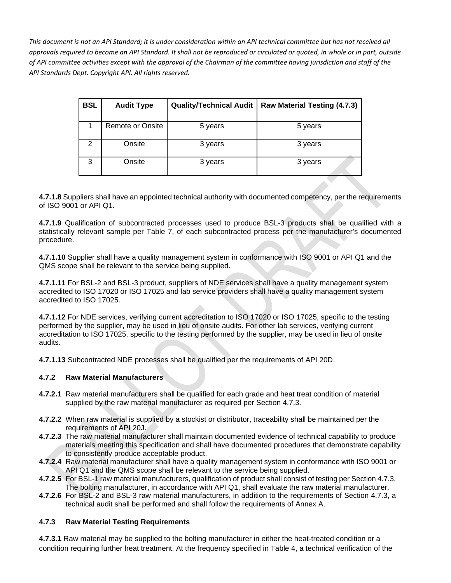| <b>BSL</b> | <b>Audit Type</b> | <b>Quality/Technical Audit</b> | Raw Material Testing (4.7.3) |
|------------|-------------------|--------------------------------|------------------------------|
|            | Remote or Onsite  | 5 years                        | 5 years                      |
| 2          | Onsite            | 3 years                        | 3 years                      |
| 3          | Onsite            | 3 years                        | 3 years                      |

**4.7.1.8** Suppliers shall have an appointed technical authority with documented competency, per the requirements of ISO 9001 or API Q1.

**4.7.1.9** Qualification of subcontracted processes used to produce BSL-3 products shall be qualified with a statistically relevant sample per Table 7, of each subcontracted process per the manufacturer's documented procedure.

**4.7.1.10** Supplier shall have a quality management system in conformance with ISO 9001 or API Q1 and the QMS scope shall be relevant to the service being supplied.

**4.7.1.11** For BSL-2 and BSL-3 product, suppliers of NDE services shall have a quality management system accredited to ISO 17020 or ISO 17025 and lab service providers shall have a quality management system accredited to ISO 17025.

**4.7.1.12** For NDE services, verifying current accreditation to ISO 17020 or ISO 17025, specific to the testing performed by the supplier, may be used in lieu of onsite audits. For other lab services, verifying current accreditation to ISO 17025, specific to the testing performed by the supplier, may be used in lieu of onsite audits.

**4.7.1.13** Subcontracted NDE processes shall be qualified per the requirements of API 20D.

#### **4.7.2 Raw Material Manufacturers**

- **4.7.2.1** Raw material manufacturers shall be qualified for each grade and heat treat condition of material supplied by the raw material manufacturer as required per Section 4.7.3.
- **4.7.2.2** When raw material is supplied by a stockist or distributor, traceability shall be maintained per the requirements of API 20J.
- **4.7.2.3** The raw material manufacturer shall maintain documented evidence of technical capability to produce materials meeting this specification and shall have documented procedures that demonstrate capability to consistently produce acceptable product.
- **4.7.2.4** Raw material manufacturer shall have a quality management system in conformance with ISO 9001 or API Q1 and the QMS scope shall be relevant to the service being supplied.
- **4.7.2.5** For BSL-1 raw material manufacturers, qualification of product shall consist of testing per Section 4.7.3. The bolting manufacturer, in accordance with API Q1, shall evaluate the raw material manufacturer.
- **4.7.2.6** For BSL-2 and BSL-3 raw material manufacturers, in addition to the requirements of Section 4.7.3, a technical audit shall be performed and shall follow the requirements of Annex A.

#### **4.7.3 Raw Material Testing Requirements**

**4.7.3.1** Raw material may be supplied to the bolting manufacturer in either the heat-treated condition or a condition requiring further heat treatment. At the frequency specified in Table 4, a technical verification of the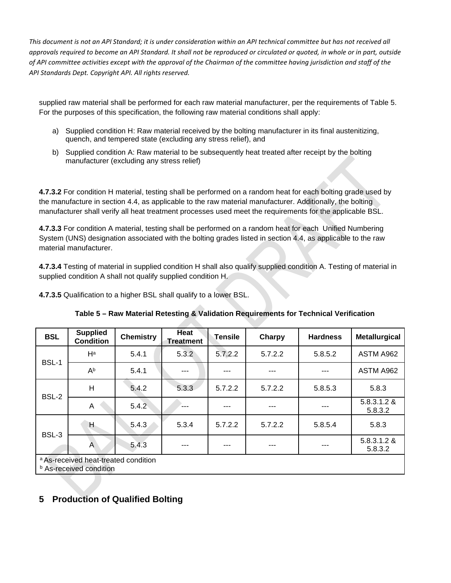supplied raw material shall be performed for each raw material manufacturer, per the requirements of Table 5. For the purposes of this specification, the following raw material conditions shall apply:

- a) Supplied condition H: Raw material received by the bolting manufacturer in its final austenitizing, quench, and tempered state (excluding any stress relief), and
- b) Supplied condition A: Raw material to be subsequently heat treated after receipt by the bolting manufacturer (excluding any stress relief)

**4.7.3.2** For condition H material, testing shall be performed on a random heat for each bolting grade used by the manufacture in section 4.4, as applicable to the raw material manufacturer. Additionally, the bolting manufacturer shall verify all heat treatment processes used meet the requirements for the applicable BSL.

**4.7.3.3** For condition A material, testing shall be performed on a random heat for each Unified Numbering System (UNS) designation associated with the bolting grades listed in section 4.4, as applicable to the raw material manufacturer.

**4.7.3.4** Testing of material in supplied condition H shall also qualify supplied condition A. Testing of material in supplied condition A shall not qualify supplied condition H.

**4.7.3.5** Qualification to a higher BSL shall qualify to a lower BSL.

| <b>BSL</b> | <b>Supplied</b><br><b>Condition</b>                                    | <b>Chemistry</b> | Heat<br><b>Treatment</b> | <b>Tensile</b> | <b>Charpy</b> | <b>Hardness</b> | <b>Metallurgical</b>   |
|------------|------------------------------------------------------------------------|------------------|--------------------------|----------------|---------------|-----------------|------------------------|
|            | $H^a$                                                                  | 5.4.1            | 5.3.2                    | 5.7.2.2        | 5.7.2.2       | 5.8.5.2         | ASTM A962              |
| BSL-1      | $A^b$                                                                  | 5.4.1            | ---                      |                | ---           |                 | ASTM A962              |
|            | H                                                                      | 5.4.2            | 5.3.3                    | 5.7.2.2        | 5.7.2.2       | 5.8.5.3         | 5.8.3                  |
| BSL-2      | A                                                                      | 5.4.2            | ---                      |                |               |                 | 5.8.3.1.2 &<br>5.8.3.2 |
| BSL-3      | Η                                                                      | 5.4.3            | 5.3.4                    | 5.7.2.2        | 5.7.2.2       | 5.8.5.4         | 5.8.3                  |
|            | A                                                                      | 5.4.3            | ---                      | ---            | ---           |                 | 5.8.3.1.2 &<br>5.8.3.2 |
|            | a As-received heat-treated condition<br><b>b</b> As-received condition |                  |                          |                |               |                 |                        |

**5 Production of Qualified Bolting**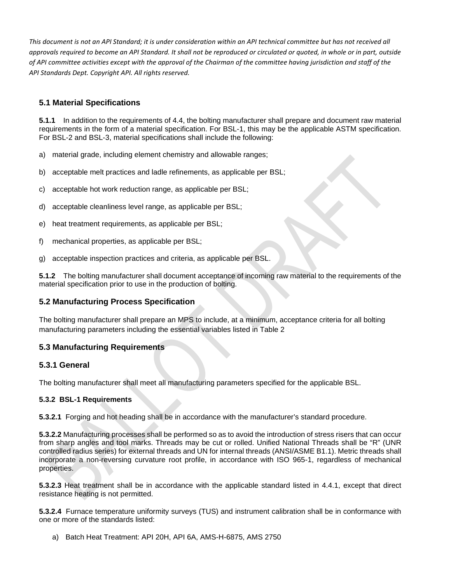## **5.1 Material Specifications**

**5.1.1** In addition to the requirements of 4.4, the bolting manufacturer shall prepare and document raw material requirements in the form of a material specification. For BSL-1, this may be the applicable ASTM specification. For BSL-2 and BSL-3, material specifications shall include the following:

- a) material grade, including element chemistry and allowable ranges;
- b) acceptable melt practices and ladle refinements, as applicable per BSL;
- c) acceptable hot work reduction range, as applicable per BSL;
- d) acceptable cleanliness level range, as applicable per BSL;
- e) heat treatment requirements, as applicable per BSL;
- f) mechanical properties, as applicable per BSL;
- g) acceptable inspection practices and criteria, as applicable per BSL.

**5.1.2** The bolting manufacturer shall document acceptance of incoming raw material to the requirements of the material specification prior to use in the production of bolting.

## **5.2 Manufacturing Process Specification**

The bolting manufacturer shall prepare an MPS to include, at a minimum, acceptance criteria for all bolting manufacturing parameters including the essential variables listed in Table 2

## **5.3 Manufacturing Requirements**

## **5.3.1 General**

The bolting manufacturer shall meet all manufacturing parameters specified for the applicable BSL.

#### **5.3.2 BSL-1 Requirements**

**5.3.2.1** Forging and hot heading shall be in accordance with the manufacturer's standard procedure.

**5.3.2.2** Manufacturing processes shall be performed so as to avoid the introduction of stress risers that can occur from sharp angles and tool marks. Threads may be cut or rolled. Unified National Threads shall be "R" (UNR controlled radius series) for external threads and UN for internal threads (ANSI/ASME B1.1). Metric threads shall incorporate a non-reversing curvature root profile, in accordance with ISO 965-1, regardless of mechanical properties.

**5.3.2.3** Heat treatment shall be in accordance with the applicable standard listed in 4.4.1, except that direct resistance heating is not permitted.

**5.3.2.4** Furnace temperature uniformity surveys (TUS) and instrument calibration shall be in conformance with one or more of the standards listed:

a) Batch Heat Treatment: API 20H, API 6A, AMS-H-6875, AMS 2750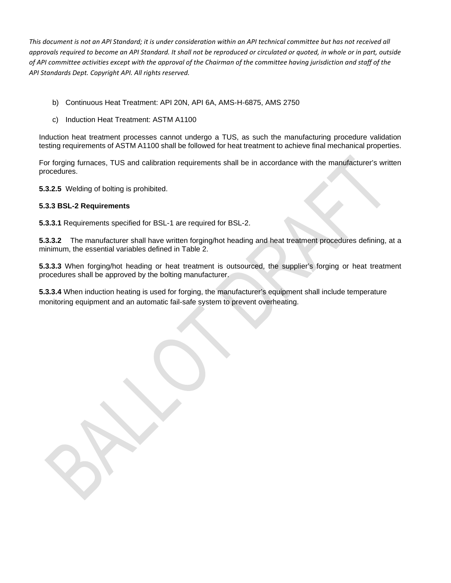- b) Continuous Heat Treatment: API 20N, API 6A, AMS-H-6875, AMS 2750
- c) Induction Heat Treatment: ASTM A1100

Induction heat treatment processes cannot undergo a TUS, as such the manufacturing procedure validation testing requirements of ASTM A1100 shall be followed for heat treatment to achieve final mechanical properties.

For forging furnaces, TUS and calibration requirements shall be in accordance with the manufacturer's written procedures.

**5.3.2.5** Welding of bolting is prohibited.

#### **5.3.3 BSL-2 Requirements**

**5.3.3.1** Requirements specified for BSL-1 are required for BSL-2.

**5.3.3.2** The manufacturer shall have written forging/hot heading and heat treatment procedures defining, at a minimum, the essential variables defined in Table 2.

**5.3.3.3** When forging/hot heading or heat treatment is outsourced, the supplier's forging or heat treatment procedures shall be approved by the bolting manufacturer.

**5.3.3.4** When induction heating is used for forging, the manufacturer's equipment shall include temperature monitoring equipment and an automatic fail-safe system to prevent overheating.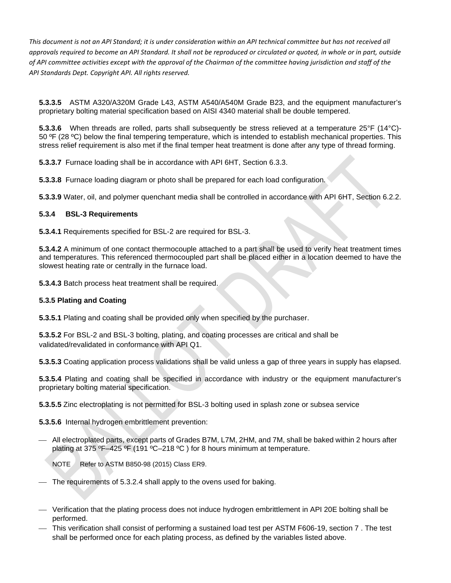**5.3.3.5** ASTM A320/A320M Grade L43, ASTM A540/A540M Grade B23, and the equipment manufacturer's proprietary bolting material specification based on AISI 4340 material shall be double tempered.

**5.3.3.6** When threads are rolled, parts shall subsequently be stress relieved at a temperature 25°F (14°C)- 50  $\textdegree$  (28  $\textdegree$ C) below the final tempering temperature, which is intended to establish mechanical properties. This stress relief requirement is also met if the final temper heat treatment is done after any type of thread forming.

**5.3.3.7** Furnace loading shall be in accordance with API 6HT, Section 6.3.3.

**5.3.3.8** Furnace loading diagram or photo shall be prepared for each load configuration.

**5.3.3.9** Water, oil, and polymer quenchant media shall be controlled in accordance with API 6HT, Section 6.2.2.

#### **5.3.4 BSL-3 Requirements**

**5.3.4.1** Requirements specified for BSL-2 are required for BSL-3.

**5.3.4.2** A minimum of one contact thermocouple attached to a part shall be used to verify heat treatment times and temperatures. This referenced thermocoupled part shall be placed either in a location deemed to have the slowest heating rate or centrally in the furnace load.

**5.3.4.3** Batch process heat treatment shall be required.

#### **5.3.5 Plating and Coating**

**5.3.5.1** Plating and coating shall be provided only when specified by the purchaser.

**5.3.5.2** For BSL-2 and BSL-3 bolting, plating, and coating processes are critical and shall be validated/revalidated in conformance with API Q1.

**5.3.5.3** Coating application process validations shall be valid unless a gap of three years in supply has elapsed.

**5.3.5.4** Plating and coating shall be specified in accordance with industry or the equipment manufacturer's proprietary bolting material specification.

**5.3.5.5** Zinc electroplating is not permitted for BSL-3 bolting used in splash zone or subsea service

**5.3.5.6** Internal hydrogen embrittlement prevention:

 All electroplated parts, except parts of Grades B7M, L7M, 2HM, and 7M, shall be baked within 2 hours after plating at 375 ºF–425 ºF (191 ºC–218 ºC ) for 8 hours minimum at temperature.

NOTE Refer to ASTM B850-98 (2015) Class ER9.

- The requirements of 5.3.2.4 shall apply to the ovens used for baking.

- Verification that the plating process does not induce hydrogen embrittlement in API 20E bolting shall be performed.
- This verification shall consist of performing a sustained load test per ASTM F606-19, section 7 . The test shall be performed once for each plating process, as defined by the variables listed above.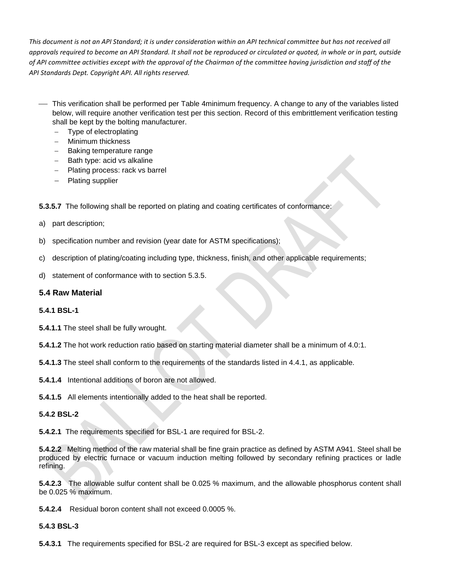- This verification shall be performed per Table 4minimum frequency. A change to any of the variables listed below, will require another verification test per this section. Record of this embrittlement verification testing shall be kept by the bolting manufacturer.
	- − Type of electroplating
	- − Minimum thickness
	- − Baking temperature range
	- − Bath type: acid vs alkaline
	- − Plating process: rack vs barrel
	- − Plating supplier

**5.3.5.7** The following shall be reported on plating and coating certificates of conformance:

- a) part description;
- b) specification number and revision (year date for ASTM specifications);
- c) description of plating/coating including type, thickness, finish, and other applicable requirements;
- d) statement of conformance with to section 5.3.5.

## **5.4 Raw Material**

#### **5.4.1 BSL-1**

**5.4.1.1** The steel shall be fully wrought.

**5.4.1.2** The hot work reduction ratio based on starting material diameter shall be a minimum of 4.0:1.

**5.4.1.3** The steel shall conform to the requirements of the standards listed in 4.4.1, as applicable.

**5.4.1.4** Intentional additions of boron are not allowed.

**5.4.1.5** All elements intentionally added to the heat shall be reported.

#### **5.4.2 BSL-2**

**5.4.2.1** The requirements specified for BSL-1 are required for BSL-2.

**5.4.2.2** Melting method of the raw material shall be fine grain practice as defined by ASTM A941. Steel shall be produced by electric furnace or vacuum induction melting followed by secondary refining practices or ladle refining.

**5.4.2.3** The allowable sulfur content shall be 0.025 % maximum, and the allowable phosphorus content shall be 0.025 % maximum.

**5.4.2.4** Residual boron content shall not exceed 0.0005 %.

#### **5.4.3 BSL-3**

**5.4.3.1** The requirements specified for BSL-2 are required for BSL-3 except as specified below.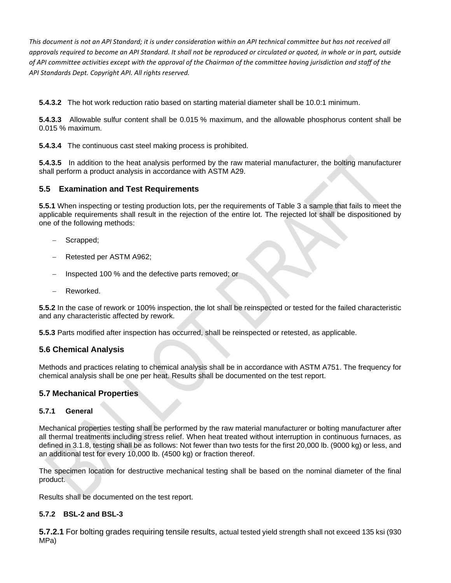**5.4.3.2** The hot work reduction ratio based on starting material diameter shall be 10.0:1 minimum.

**5.4.3.3** Allowable sulfur content shall be 0.015 % maximum, and the allowable phosphorus content shall be 0.015 % maximum.

**5.4.3.4** The continuous cast steel making process is prohibited.

**5.4.3.5** In addition to the heat analysis performed by the raw material manufacturer, the bolting manufacturer shall perform a product analysis in accordance with ASTM A29.

#### **5.5 Examination and Test Requirements**

**5.5.1** When inspecting or testing production lots, per the requirements of Table 3 a sample that fails to meet the applicable requirements shall result in the rejection of the entire lot. The rejected lot shall be dispositioned by one of the following methods:

- Scrapped;
- − Retested per ASTM A962;
- − Inspected 100 % and the defective parts removed; or
- − Reworked.

**5.5.2** In the case of rework or 100% inspection, the lot shall be reinspected or tested for the failed characteristic and any characteristic affected by rework.

**5.5.3** Parts modified after inspection has occurred, shall be reinspected or retested, as applicable.

#### **5.6 Chemical Analysis**

Methods and practices relating to chemical analysis shall be in accordance with ASTM A751. The frequency for chemical analysis shall be one per heat. Results shall be documented on the test report.

#### **5.7 Mechanical Properties**

#### **5.7.1 General**

Mechanical properties testing shall be performed by the raw material manufacturer or bolting manufacturer after all thermal treatments including stress relief. When heat treated without interruption in continuous furnaces, as defined in 3.1.8, testing shall be as follows: Not fewer than two tests for the first 20,000 lb. (9000 kg) or less, and an additional test for every 10,000 lb. (4500 kg) or fraction thereof.

The specimen location for destructive mechanical testing shall be based on the nominal diameter of the final product.

Results shall be documented on the test report.

#### **5.7.2 BSL-2 and BSL-3**

**5.7.2.1** For bolting grades requiring tensile results, actual tested yield strength shall not exceed 135 ksi (930 MPa)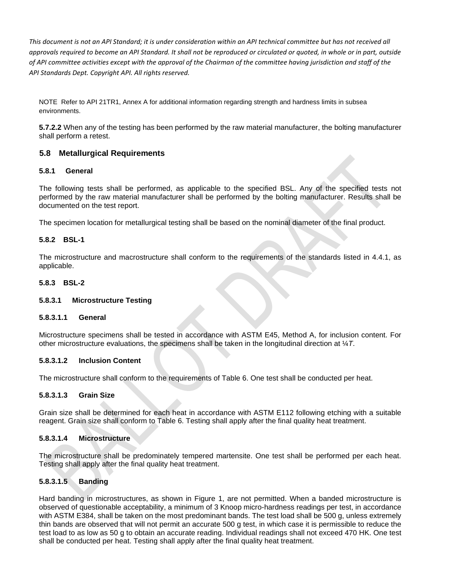NOTE Refer to API 21TR1, Annex A for additional information regarding strength and hardness limits in subsea environments.

**5.7.2.2** When any of the testing has been performed by the raw material manufacturer, the bolting manufacturer shall perform a retest.

#### **5.8 Metallurgical Requirements**

#### **5.8.1 General**

The following tests shall be performed, as applicable to the specified BSL. Any of the specified tests not performed by the raw material manufacturer shall be performed by the bolting manufacturer. Results shall be documented on the test report.

The specimen location for metallurgical testing shall be based on the nominal diameter of the final product.

#### **5.8.2 BSL-1**

The microstructure and macrostructure shall conform to the requirements of the standards listed in 4.4.1, as applicable.

#### **5.8.3 BSL-2**

#### **5.8.3.1 Microstructure Testing**

#### **5.8.3.1.1 General**

Microstructure specimens shall be tested in accordance with ASTM E45, Method A, for inclusion content. For other microstructure evaluations, the specimens shall be taken in the longitudinal direction at ¼*T*.

#### **5.8.3.1.2 Inclusion Content**

The microstructure shall conform to the requirements of Table 6. One test shall be conducted per heat.

#### **5.8.3.1.3 Grain Size**

Grain size shall be determined for each heat in accordance with ASTM E112 following etching with a suitable reagent. Grain size shall conform to Table 6. Testing shall apply after the final quality heat treatment.

#### **5.8.3.1.4 Microstructure**

The microstructure shall be predominately tempered martensite. One test shall be performed per each heat. Testing shall apply after the final quality heat treatment.

#### **5.8.3.1.5 Banding**

Hard banding in microstructures, as shown in Figure 1, are not permitted. When a banded microstructure is observed of questionable acceptability, a minimum of 3 Knoop micro-hardness readings per test, in accordance with ASTM E384, shall be taken on the most predominant bands. The test load shall be 500 g, unless extremely thin bands are observed that will not permit an accurate 500 g test, in which case it is permissible to reduce the test load to as low as 50 g to obtain an accurate reading. Individual readings shall not exceed 470 HK. One test shall be conducted per heat. Testing shall apply after the final quality heat treatment.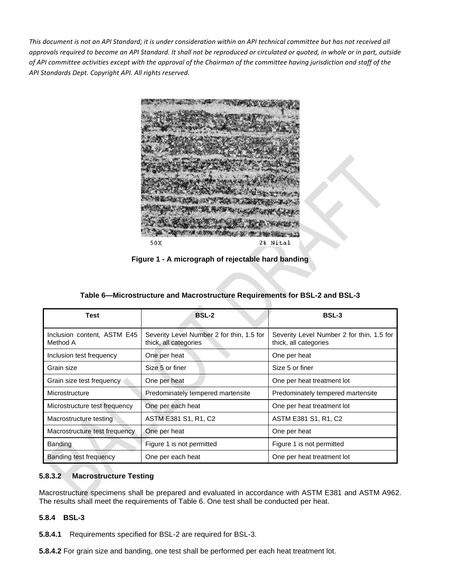

**Figure 1 - A micrograph of rejectable hard banding**

| Test                                    | <b>BSL-2</b>                                                       | <b>BSL-3</b>                                                       |
|-----------------------------------------|--------------------------------------------------------------------|--------------------------------------------------------------------|
| Inclusion content, ASTM E45<br>Method A | Severity Level Number 2 for thin, 1.5 for<br>thick, all categories | Severity Level Number 2 for thin, 1.5 for<br>thick, all categories |
| Inclusion test frequency                | One per heat                                                       | One per heat                                                       |
| Grain size                              | Size 5 or finer                                                    | Size 5 or finer                                                    |
| Grain size test frequency               | One per heat                                                       | One per heat treatment lot                                         |
| Microstructure                          | Predominately tempered martensite                                  | Predominately tempered martensite                                  |
| Microstructure test frequency           | One per each heat                                                  | One per heat treatment lot                                         |
| Macrostructure testing                  | ASTM E381 S1, R1, C2                                               | ASTM E381 S1, R1, C2                                               |
| Macrostructure test frequency           | One per heat                                                       | One per heat                                                       |
| Banding                                 | Figure 1 is not permitted                                          | Figure 1 is not permitted                                          |
| Banding test frequency                  | One per each heat                                                  | One per heat treatment lot                                         |

**Table 6—Microstructure and Macrostructure Requirements for BSL-2 and BSL-3**

#### **5.8.3.2 Macrostructure Testing**

Macrostructure specimens shall be prepared and evaluated in accordance with ASTM E381 and ASTM A962. The results shall meet the requirements of Table 6. One test shall be conducted per heat.

#### **5.8.4 BSL-3**

**5.8.4.1** Requirements specified for BSL-2 are required for BSL-3.

**5.8.4.2** For grain size and banding, one test shall be performed per each heat treatment lot.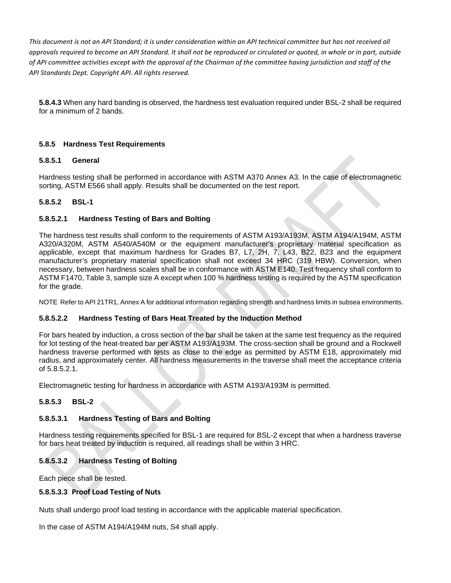**5.8.4.3** When any hard banding is observed, the hardness test evaluation required under BSL-2 shall be required for a minimum of 2 bands.

#### **5.8.5 Hardness Test Requirements**

#### **5.8.5.1 General**

Hardness testing shall be performed in accordance with ASTM A370 Annex A3. In the case of electromagnetic sorting, ASTM E566 shall apply. Results shall be documented on the test report.

#### **5.8.5.2 BSL-1**

#### **5.8.5.2.1 Hardness Testing of Bars and Bolting**

The hardness test results shall conform to the requirements of ASTM A193/A193M, ASTM A194/A194M, ASTM A320/A320M, ASTM A540/A540M or the equipment manufacturer's proprietary material specification as applicable, except that maximum hardness for Grades B7, L7, 2H, 7, L43, B22, B23 and the equipment manufacturer's proprietary material specification shall not exceed 34 HRC (319 HBW). Conversion, when necessary, between hardness scales shall be in conformance with ASTM E140. Test frequency shall conform to ASTM F1470, Table 3, sample size A except when 100 % hardness testing is required by the ASTM specification for the grade.

NOTE Refer to API 21TR1, Annex A for additional information regarding strength and hardness limits in subsea environments.

#### **5.8.5.2.2 Hardness Testing of Bars Heat Treated by the Induction Method**

For bars heated by induction, a cross section of the bar shall be taken at the same test frequency as the required for lot testing of the heat-treated bar per ASTM A193/A193M. The cross-section shall be ground and a Rockwell hardness traverse performed with tests as close to the edge as permitted by ASTM E18, approximately mid radius, and approximately center. All hardness measurements in the traverse shall meet the acceptance criteria of 5.8.5.2.1.

Electromagnetic testing for hardness in accordance with ASTM A193/A193M is permitted.

#### **5.8.5.3 BSL-2**

#### **5.8.5.3.1 Hardness Testing of Bars and Bolting**

Hardness testing requirements specified for BSL-1 are required for BSL-2 except that when a hardness traverse for bars heat treated by induction is required, all readings shall be within 3 HRC.

#### **5.8.5.3.2 Hardness Testing of Bolting**

Each piece shall be tested.

#### **5.8.5.3.3 Proof Load Testing of Nuts**

Nuts shall undergo proof load testing in accordance with the applicable material specification.

In the case of ASTM A194/A194M nuts, S4 shall apply.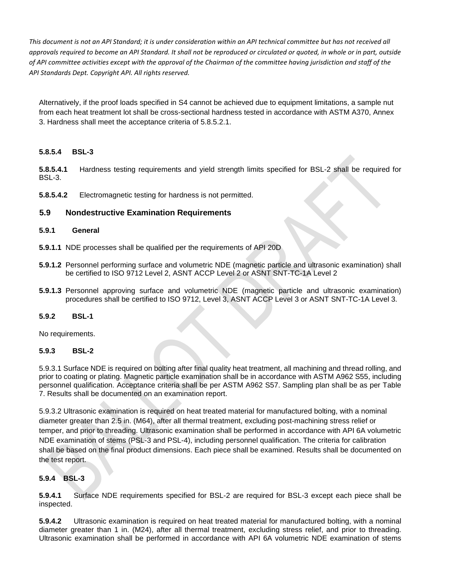Alternatively, if the proof loads specified in S4 cannot be achieved due to equipment limitations, a sample nut from each heat treatment lot shall be cross-sectional hardness tested in accordance with ASTM A370, Annex 3. Hardness shall meet the acceptance criteria of 5.8.5.2.1.

#### **5.8.5.4 BSL-3**

**5.8.5.4.1** Hardness testing requirements and yield strength limits specified for BSL-2 shall be required for BSL-3.

**5.8.5.4.2** Electromagnetic testing for hardness is not permitted.

#### **5.9 Nondestructive Examination Requirements**

#### **5.9.1 General**

- **5.9.1.1** NDE processes shall be qualified per the requirements of API 20D
- **5.9.1.2** Personnel performing surface and volumetric NDE (magnetic particle and ultrasonic examination) shall be certified to ISO 9712 Level 2, ASNT ACCP Level 2 or ASNT SNT-TC-1A Level 2
- **5.9.1.3** Personnel approving surface and volumetric NDE (magnetic particle and ultrasonic examination) procedures shall be certified to ISO 9712, Level 3, ASNT ACCP Level 3 or ASNT SNT-TC-1A Level 3.

#### **5.9.2 BSL-1**

No requirements.

#### **5.9.3 BSL-2**

5.9.3.1 Surface NDE is required on bolting after final quality heat treatment, all machining and thread rolling, and prior to coating or plating. Magnetic particle examination shall be in accordance with ASTM A962 S55, including personnel qualification. Acceptance criteria shall be per ASTM A962 S57. Sampling plan shall be as per Table 7. Results shall be documented on an examination report.

5.9.3.2 Ultrasonic examination is required on heat treated material for manufactured bolting, with a nominal diameter greater than 2.5 in. (M64), after all thermal treatment, excluding post-machining stress relief or temper, and prior to threading. Ultrasonic examination shall be performed in accordance with API 6A volumetric NDE examination of stems (PSL-3 and PSL-4), including personnel qualification. The criteria for calibration shall be based on the final product dimensions. Each piece shall be examined. Results shall be documented on the test report.

#### **5.9.4 BSL-3**

**5.9.4.1** Surface NDE requirements specified for BSL-2 are required for BSL-3 except each piece shall be inspected.

**5.9.4.2** Ultrasonic examination is required on heat treated material for manufactured bolting, with a nominal diameter greater than 1 in. (M24), after all thermal treatment, excluding stress relief, and prior to threading. Ultrasonic examination shall be performed in accordance with API 6A volumetric NDE examination of stems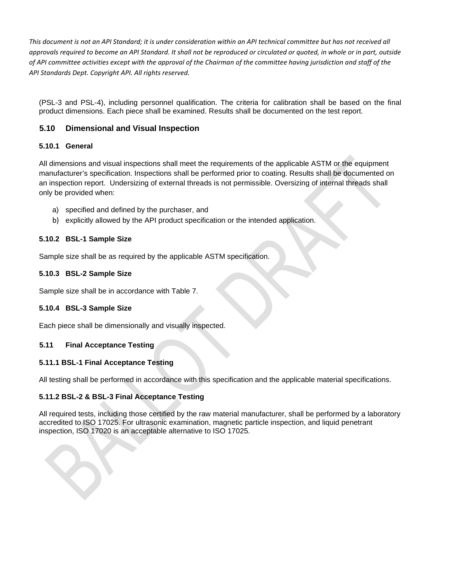(PSL-3 and PSL-4), including personnel qualification. The criteria for calibration shall be based on the final product dimensions. Each piece shall be examined. Results shall be documented on the test report.

## **5.10 Dimensional and Visual Inspection**

#### **5.10.1 General**

All dimensions and visual inspections shall meet the requirements of the applicable ASTM or the equipment manufacturer's specification. Inspections shall be performed prior to coating. Results shall be documented on an inspection report. Undersizing of external threads is not permissible. Oversizing of internal threads shall only be provided when:

- a) specified and defined by the purchaser, and
- b) explicitly allowed by the API product specification or the intended application.

#### **5.10.2 BSL-1 Sample Size**

Sample size shall be as required by the applicable ASTM specification.

#### **5.10.3 BSL-2 Sample Size**

Sample size shall be in accordance with Table 7.

#### **5.10.4 BSL-3 Sample Size**

Each piece shall be dimensionally and visually inspected.

## **5.11 Final Acceptance Testing**

#### **5.11.1 BSL-1 Final Acceptance Testing**

All testing shall be performed in accordance with this specification and the applicable material specifications.

#### **5.11.2 BSL-2 & BSL-3 Final Acceptance Testing**

All required tests, including those certified by the raw material manufacturer, shall be performed by a laboratory accredited to ISO 17025. For ultrasonic examination, magnetic particle inspection, and liquid penetrant inspection, ISO 17020 is an acceptable alternative to ISO 17025.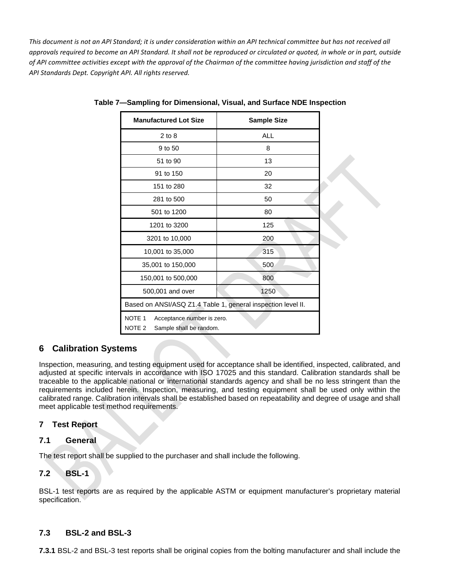| <b>Manufactured Lot Size</b>                                                                    | <b>Sample Size</b> |  |
|-------------------------------------------------------------------------------------------------|--------------------|--|
| $2$ to $8$                                                                                      | <b>ALL</b>         |  |
| 9 to 50                                                                                         | 8                  |  |
| 51 to 90                                                                                        | 13                 |  |
| 91 to 150                                                                                       | 20                 |  |
| 151 to 280                                                                                      | 32                 |  |
| 281 to 500                                                                                      | 50                 |  |
| 501 to 1200                                                                                     | 80                 |  |
| 1201 to 3200                                                                                    | 125                |  |
| 3201 to 10,000                                                                                  | 200                |  |
| 10,001 to 35,000                                                                                | 315                |  |
| 35,001 to 150,000                                                                               | 500                |  |
| 150,001 to 500,000                                                                              | 800                |  |
| 500,001 and over                                                                                | 1250               |  |
| Based on ANSI/ASQ Z1.4 Table 1, general inspection level II.                                    |                    |  |
| NOTE <sub>1</sub><br>Acceptance number is zero.<br>NOTE <sub>2</sub><br>Sample shall be random. |                    |  |

**Table 7—Sampling for Dimensional, Visual, and Surface NDE Inspection**

## **6 Calibration Systems**

Inspection, measuring, and testing equipment used for acceptance shall be identified, inspected, calibrated, and adjusted at specific intervals in accordance with ISO 17025 and this standard. Calibration standards shall be traceable to the applicable national or international standards agency and shall be no less stringent than the requirements included herein. Inspection, measuring, and testing equipment shall be used only within the calibrated range. Calibration intervals shall be established based on repeatability and degree of usage and shall meet applicable test method requirements.

## **7 Test Report**

#### **7.1 General**

The test report shall be supplied to the purchaser and shall include the following.

#### **7.2 BSL-1**

BSL-1 test reports are as required by the applicable ASTM or equipment manufacturer's proprietary material specification.

#### **7.3 BSL-2 and BSL-3**

**7.3.1** BSL-2 and BSL-3 test reports shall be original copies from the bolting manufacturer and shall include the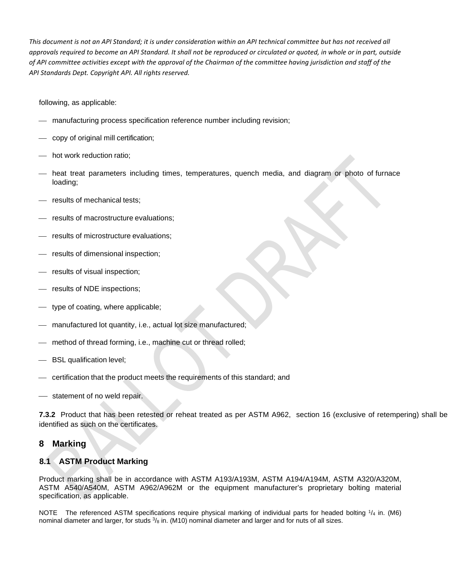following, as applicable:

- manufacturing process specification reference number including revision;
- copy of original mill certification;
- hot work reduction ratio:
- heat treat parameters including times, temperatures, quench media, and diagram or photo of furnace loading;
- results of mechanical tests:
- results of macrostructure evaluations;
- results of microstructure evaluations:
- results of dimensional inspection;
- results of visual inspection;
- results of NDE inspections;
- type of coating, where applicable;
- manufactured lot quantity, i.e., actual lot size manufactured;
- method of thread forming, i.e., machine cut or thread rolled;
- BSL qualification level;
- certification that the product meets the requirements of this standard; and
- statement of no weld repair.

**7.3.2** Product that has been retested or reheat treated as per ASTM A962, section 16 (exclusive of retempering) shall be identified as such on the certificates.

## **8 Marking**

#### **8.1 ASTM Product Marking**

Product marking shall be in accordance with ASTM A193/A193M, ASTM A194/A194M, ASTM A320/A320M, ASTM A540/A540M, ASTM A962/A962M or the equipment manufacturer's proprietary bolting material specification, as applicable.

NOTE The referenced ASTM specifications require physical marking of individual parts for headed bolting  $\frac{1}{4}$  in. (M6) nominal diameter and larger, for studs  $\frac{3}{8}$  in. (M10) nominal diameter and larger and for nuts of all sizes.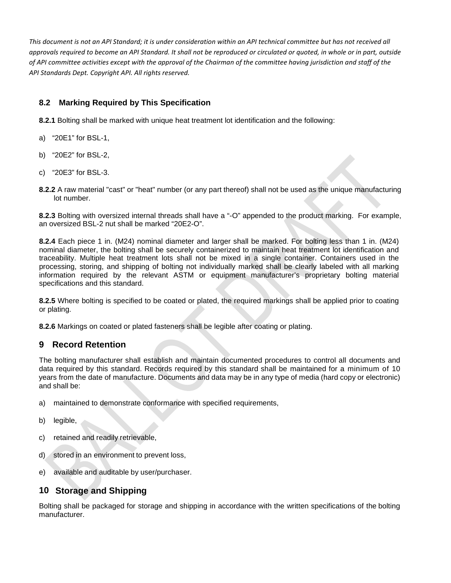## **8.2 Marking Required by This Specification**

**8.2.1** Bolting shall be marked with unique heat treatment lot identification and the following:

- a) "20E1" for BSL-1,
- b) "20E2" for BSL-2,
- c) "20E3" for BSL-3.
- **8.2.2** A raw material "cast" or "heat" number (or any part thereof) shall not be used as the unique manufacturing lot number.

**8.2.3** Bolting with oversized internal threads shall have a "-O" appended to the product marking. For example, an oversized BSL-2 nut shall be marked "20E2-O".

**8.2.4** Each piece 1 in. (M24) nominal diameter and larger shall be marked. For bolting less than 1 in. (M24) nominal diameter, the bolting shall be securely containerized to maintain heat treatment lot identification and traceability. Multiple heat treatment lots shall not be mixed in a single container. Containers used in the processing, storing, and shipping of bolting not individually marked shall be clearly labeled with all marking information required by the relevant ASTM or equipment manufacturer's proprietary bolting material specifications and this standard.

**8.2.5** Where bolting is specified to be coated or plated, the required markings shall be applied prior to coating or plating.

**8.2.6** Markings on coated or plated fasteners shall be legible after coating or plating.

## **9 Record Retention**

The bolting manufacturer shall establish and maintain documented procedures to control all documents and data required by this standard. Records required by this standard shall be maintained for a minimum of 10 years from the date of manufacture. Documents and data may be in any type of media (hard copy or electronic) and shall be:

- a) maintained to demonstrate conformance with specified requirements,
- b) legible,
- c) retained and readily retrievable,
- d) stored in an environment to prevent loss,
- e) available and auditable by user/purchaser.

## **10 Storage and Shipping**

Bolting shall be packaged for storage and shipping in accordance with the written specifications of the bolting manufacturer.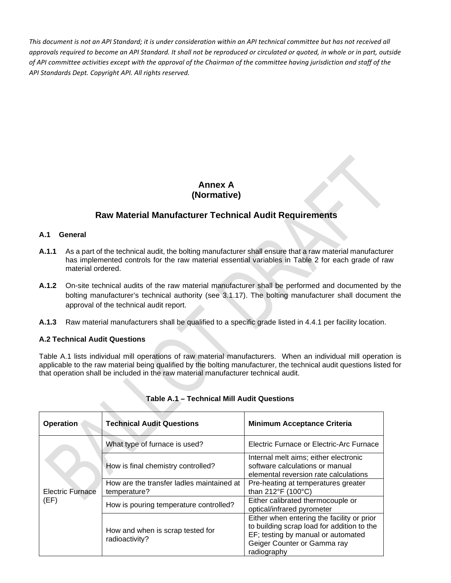## **Annex A (Normative)**

## **Raw Material Manufacturer Technical Audit Requirements**

#### **A.1 General**

- **A.1.1** As a part of the technical audit, the bolting manufacturer shall ensure that a raw material manufacturer has implemented controls for the raw material essential variables in Table 2 for each grade of raw material ordered.
- **A.1.2** On-site technical audits of the raw material manufacturer shall be performed and documented by the bolting manufacturer's technical authority (see 3.1.17). The bolting manufacturer shall document the approval of the technical audit report.
- **A.1.3** Raw material manufacturers shall be qualified to a specific grade listed in 4.4.1 per facility location.

#### **A.2 Technical Audit Questions**

Table A.1 lists individual mill operations of raw material manufacturers. When an individual mill operation is applicable to the raw material being qualified by the bolting manufacturer, the technical audit questions listed for that operation shall be included in the raw material manufacturer technical audit.

| <b>Operation</b>                | <b>Technical Audit Questions</b>                          | <b>Minimum Acceptance Criteria</b>                                                                                                                                           |  |
|---------------------------------|-----------------------------------------------------------|------------------------------------------------------------------------------------------------------------------------------------------------------------------------------|--|
| <b>Electric Furnace</b><br>(EF) | What type of furnace is used?                             | Electric Furnace or Electric-Arc Furnace                                                                                                                                     |  |
|                                 | How is final chemistry controlled?                        | Internal melt aims; either electronic<br>software calculations or manual<br>elemental reversion rate calculations                                                            |  |
|                                 | How are the transfer ladles maintained at<br>temperature? | Pre-heating at temperatures greater<br>than 212°F (100°C)                                                                                                                    |  |
|                                 | How is pouring temperature controlled?                    | Either calibrated thermocouple or<br>optical/infrared pyrometer                                                                                                              |  |
|                                 | How and when is scrap tested for<br>radioactivity?        | Either when entering the facility or prior<br>to building scrap load for addition to the<br>EF; testing by manual or automated<br>Geiger Counter or Gamma ray<br>radiography |  |

#### **Table A.1 – Technical Mill Audit Questions**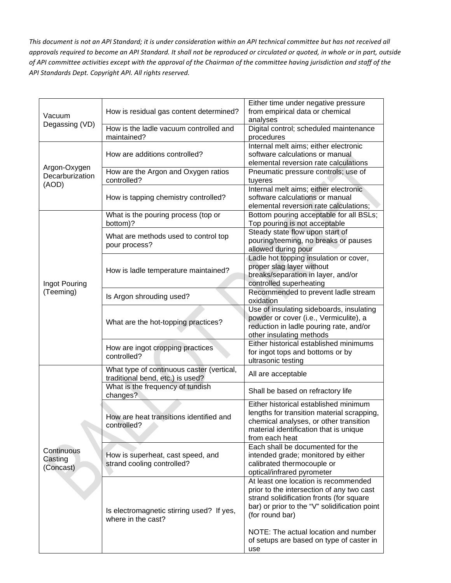| Vacuum<br>Degassing (VD)                 | How is residual gas content determined?                                       | Either time under negative pressure<br>from empirical data or chemical<br>analyses                                                                                                                                                        |
|------------------------------------------|-------------------------------------------------------------------------------|-------------------------------------------------------------------------------------------------------------------------------------------------------------------------------------------------------------------------------------------|
|                                          | How is the ladle vacuum controlled and<br>maintained?                         | Digital control; scheduled maintenance<br>procedures                                                                                                                                                                                      |
| Argon-Oxygen<br>Decarburization<br>(AOD) | How are additions controlled?                                                 | Internal melt aims; either electronic<br>software calculations or manual<br>elemental reversion rate calculations                                                                                                                         |
|                                          | How are the Argon and Oxygen ratios<br>controlled?                            | Pneumatic pressure controls; use of<br>tuyeres                                                                                                                                                                                            |
|                                          | How is tapping chemistry controlled?                                          | Internal melt aims; either electronic<br>software calculations or manual<br>elemental reversion rate calculations;                                                                                                                        |
| Ingot Pouring<br>(Teeming)               | What is the pouring process (top or<br>bottom)?                               | Bottom pouring acceptable for all BSLs;<br>Top pouring is not acceptable                                                                                                                                                                  |
|                                          | What are methods used to control top<br>pour process?                         | Steady state flow upon start of<br>pouring/teeming, no breaks or pauses<br>allowed during pour                                                                                                                                            |
|                                          | How is ladle temperature maintained?                                          | Ladle hot topping insulation or cover,<br>proper slag layer without<br>breaks/separation in layer, and/or<br>controlled superheating                                                                                                      |
|                                          | Is Argon shrouding used?                                                      | Recommended to prevent ladle stream<br>oxidation                                                                                                                                                                                          |
|                                          | What are the hot-topping practices?                                           | Use of insulating sideboards, insulating<br>powder or cover (i.e., Vermiculite), a<br>reduction in ladle pouring rate, and/or<br>other insulating methods                                                                                 |
|                                          | How are ingot cropping practices<br>controlled?                               | Either historical established minimums<br>for ingot tops and bottoms or by<br>ultrasonic testing                                                                                                                                          |
|                                          | What type of continuous caster (vertical,<br>traditional bend, etc.) is used? | All are acceptable                                                                                                                                                                                                                        |
|                                          | What is the frequency of tundish<br>changes?                                  | Shall be based on refractory life                                                                                                                                                                                                         |
| Continuous<br>Casting<br>(Concast)       | How are heat transitions identified and<br>controlled?                        | Either historical established minimum<br>lengths for transition material scrapping,<br>chemical analyses, or other transition<br>material identification that is unique<br>from each heat                                                 |
|                                          | How is superheat, cast speed, and<br>strand cooling controlled?               | Each shall be documented for the<br>intended grade; monitored by either<br>calibrated thermocouple or<br>optical/infrared pyrometer                                                                                                       |
|                                          | Is electromagnetic stirring used? If yes,<br>where in the cast?               | At least one location is recommended<br>prior to the intersection of any two cast<br>strand solidification fronts (for square<br>bar) or prior to the "V" solidification point<br>(for round bar)<br>NOTE: The actual location and number |
|                                          |                                                                               | of setups are based on type of caster in<br>use                                                                                                                                                                                           |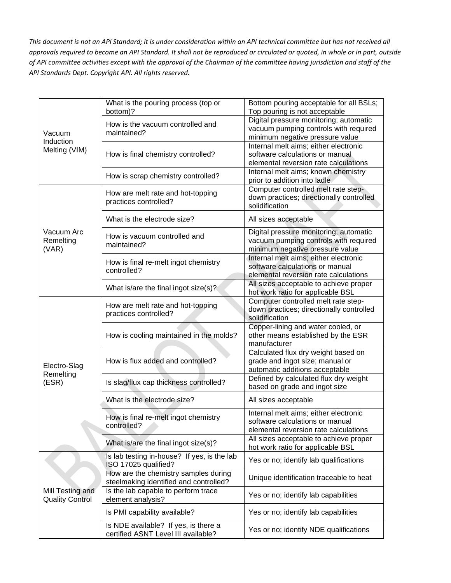| Vacuum<br>Induction                        | What is the pouring process (top or<br>bottom)?                             | Bottom pouring acceptable for all BSLs;<br>Top pouring is not acceptable |
|--------------------------------------------|-----------------------------------------------------------------------------|--------------------------------------------------------------------------|
|                                            | How is the vacuum controlled and<br>maintained?                             | Digital pressure monitoring; automatic                                   |
|                                            |                                                                             | vacuum pumping controls with required                                    |
|                                            |                                                                             | minimum negative pressure value                                          |
| Melting (VIM)                              |                                                                             | Internal melt aims; either electronic                                    |
|                                            | How is final chemistry controlled?                                          | software calculations or manual<br>elemental reversion rate calculations |
|                                            |                                                                             | Internal melt aims; known chemistry                                      |
|                                            | How is scrap chemistry controlled?                                          | prior to addition into ladle.                                            |
|                                            | How are melt rate and hot-topping<br>practices controlled?                  | Computer controlled melt rate step-                                      |
|                                            |                                                                             | down practices; directionally controlled                                 |
|                                            |                                                                             | solidification                                                           |
|                                            | What is the electrode size?                                                 | All sizes acceptable                                                     |
| Vacuum Arc                                 | How is vacuum controlled and<br>maintained?                                 | Digital pressure monitoring; automatic                                   |
| Remelting                                  |                                                                             | vacuum pumping controls with required                                    |
| (VAR)                                      |                                                                             | minimum negative pressure value                                          |
|                                            | How is final re-melt ingot chemistry                                        | Internal melt aims; either electronic                                    |
|                                            | controlled?                                                                 | software calculations or manual                                          |
|                                            |                                                                             | elemental reversion rate calculations                                    |
|                                            | What is/are the final ingot size(s)?                                        | All sizes acceptable to achieve proper                                   |
|                                            |                                                                             | hot work ratio for applicable BSL                                        |
|                                            | How are melt rate and hot-topping<br>practices controlled?                  | Computer controlled melt rate step-                                      |
|                                            |                                                                             | down practices; directionally controlled<br>solidification               |
|                                            | How is cooling maintained in the molds?                                     | Copper-lining and water cooled, or                                       |
|                                            |                                                                             | other means established by the ESR                                       |
|                                            |                                                                             | manufacturer                                                             |
|                                            | How is flux added and controlled?                                           | Calculated flux dry weight based on                                      |
|                                            |                                                                             | grade and ingot size; manual or                                          |
| Electro-Slag                               |                                                                             | automatic additions acceptable                                           |
| Remelting                                  |                                                                             | Defined by calculated flux dry weight                                    |
| (ESR)                                      | Is slag/flux cap thickness controlled?                                      | based on grade and ingot size                                            |
|                                            | What is the electrode size?                                                 | All sizes acceptable                                                     |
|                                            |                                                                             | Internal melt aims; either electronic                                    |
|                                            | How is final re-melt ingot chemistry                                        | software calculations or manual                                          |
|                                            | controlled?                                                                 | elemental reversion rate calculations                                    |
|                                            |                                                                             | All sizes acceptable to achieve proper                                   |
|                                            | What is/are the final ingot size(s)?                                        | hot work ratio for applicable BSL                                        |
|                                            | Is lab testing in-house? If yes, is the lab<br>ISO 17025 qualified?         | Yes or no; identify lab qualifications                                   |
|                                            | How are the chemistry samples during                                        |                                                                          |
| Mill Testing and<br><b>Quality Control</b> | steelmaking identified and controlled?                                      | Unique identification traceable to heat                                  |
|                                            | Is the lab capable to perform trace                                         |                                                                          |
|                                            | element analysis?                                                           | Yes or no; identify lab capabilities                                     |
|                                            | Is PMI capability available?                                                | Yes or no; identify lab capabilities                                     |
|                                            | Is NDE available? If yes, is there a<br>certified ASNT Level III available? | Yes or no; identify NDE qualifications                                   |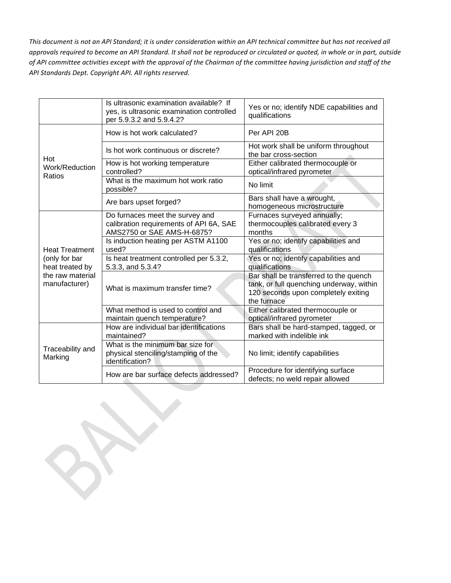|                                                                                                | Is ultrasonic examination available? If<br>yes, is ultrasonic examination controlled<br>per 5.9.3.2 and 5.9.4.2? | Yes or no; identify NDE capabilities and<br>qualifications                                                                               |
|------------------------------------------------------------------------------------------------|------------------------------------------------------------------------------------------------------------------|------------------------------------------------------------------------------------------------------------------------------------------|
| Hot<br>Work/Reduction<br>Ratios                                                                | How is hot work calculated?                                                                                      | Per API 20B                                                                                                                              |
|                                                                                                | Is hot work continuous or discrete?                                                                              | Hot work shall be uniform throughout<br>the bar cross-section                                                                            |
|                                                                                                | How is hot working temperature<br>controlled?                                                                    | Either calibrated thermocouple or<br>optical/infrared pyrometer                                                                          |
|                                                                                                | What is the maximum hot work ratio<br>possible?                                                                  | No limit                                                                                                                                 |
|                                                                                                | Are bars upset forged?                                                                                           | Bars shall have a wrought,<br>homogeneous microstructure                                                                                 |
| <b>Heat Treatment</b><br>(only for bar<br>heat treated by<br>the raw material<br>manufacturer) | Do furnaces meet the survey and<br>calibration requirements of API 6A, SAE<br>AMS2750 or SAE AMS-H-6875?         | Furnaces surveyed annually;<br>thermocouples calibrated every 3<br>months                                                                |
|                                                                                                | Is induction heating per ASTM A1100<br>used?                                                                     | Yes or no; identify capabilities and<br>qualifications                                                                                   |
|                                                                                                | Is heat treatment controlled per 5.3.2,<br>5.3.3, and 5.3.4?                                                     | Yes or no; identify capabilities and<br>qualifications                                                                                   |
|                                                                                                | What is maximum transfer time?                                                                                   | Bar shall be transferred to the quench<br>tank, or full quenching underway, within<br>120 seconds upon completely exiting<br>the furnace |
|                                                                                                | What method is used to control and<br>maintain quench temperature?                                               | Either calibrated thermocouple or<br>optical/infrared pyrometer                                                                          |
| Traceability and<br>Marking                                                                    | How are individual bar identifications<br>maintained?                                                            | Bars shall be hard-stamped, tagged, or<br>marked with indelible ink                                                                      |
|                                                                                                | What is the minimum bar size for<br>physical stenciling/stamping of the<br>identification?                       | No limit; identify capabilities                                                                                                          |
|                                                                                                | How are bar surface defects addressed?                                                                           | Procedure for identifying surface<br>defects; no weld repair allowed                                                                     |